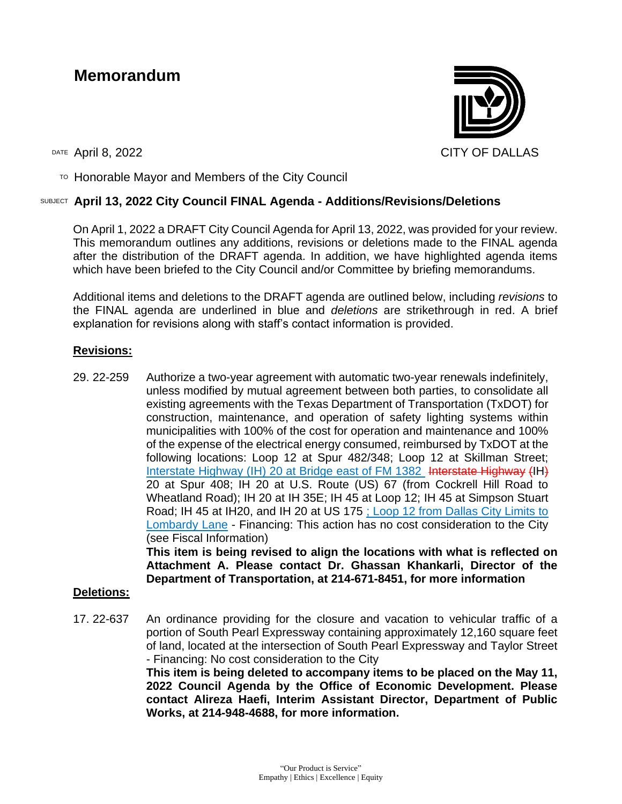# **Memorandum**



TO Honorable Mayor and Members of the City Council

## SUBJECT **April 13, 2022 City Council FINAL Agenda - Additions/Revisions/Deletions**

On April 1, 2022 a DRAFT City Council Agenda for April 13, 2022, was provided for your review. This memorandum outlines any additions, revisions or deletions made to the FINAL agenda after the distribution of the DRAFT agenda. In addition, we have highlighted agenda items which have been briefed to the City Council and/or Committee by briefing memorandums.

Additional items and deletions to the DRAFT agenda are outlined below, including *revisions* to the FINAL agenda are underlined in blue and *deletions* are strikethrough in red. A brief explanation for revisions along with staff's contact information is provided.

## **Revisions:**

29. 22-259 Authorize a two-year agreement with automatic two-year renewals indefinitely, unless modified by mutual agreement between both parties, to consolidate all existing agreements with the Texas Department of Transportation (TxDOT) for construction, maintenance, and operation of safety lighting systems within municipalities with 100% of the cost for operation and maintenance and 100% of the expense of the electrical energy consumed, reimbursed by TxDOT at the following locations: Loop 12 at Spur 482/348; Loop 12 at Skillman Street; Interstate Highway (IH) 20 at Bridge east of FM 1382 Interstate Highway (IH) 20 at Spur 408; IH 20 at U.S. Route (US) 67 (from Cockrell Hill Road to Wheatland Road); IH 20 at IH 35E; IH 45 at Loop 12; IH 45 at Simpson Stuart Road; IH 45 at IH20, and IH 20 at US 175 ; Loop 12 from Dallas City Limits to Lombardy Lane - Financing: This action has no cost consideration to the City (see Fiscal Information)

**This item is being revised to align the locations with what is reflected on Attachment A. Please contact Dr. Ghassan Khankarli, Director of the Department of Transportation, at 214-671-8451, for more information**

#### **Deletions:**

17. 22-637 An ordinance providing for the closure and vacation to vehicular traffic of a portion of South Pearl Expressway containing approximately 12,160 square feet of land, located at the intersection of South Pearl Expressway and Taylor Street - Financing: No cost consideration to the City **This item is being deleted to accompany items to be placed on the May 11, 2022 Council Agenda by the Office of Economic Development. Please** 

**contact Alireza Haefi, Interim Assistant Director, Department of Public Works, at 214-948-4688, for more information.**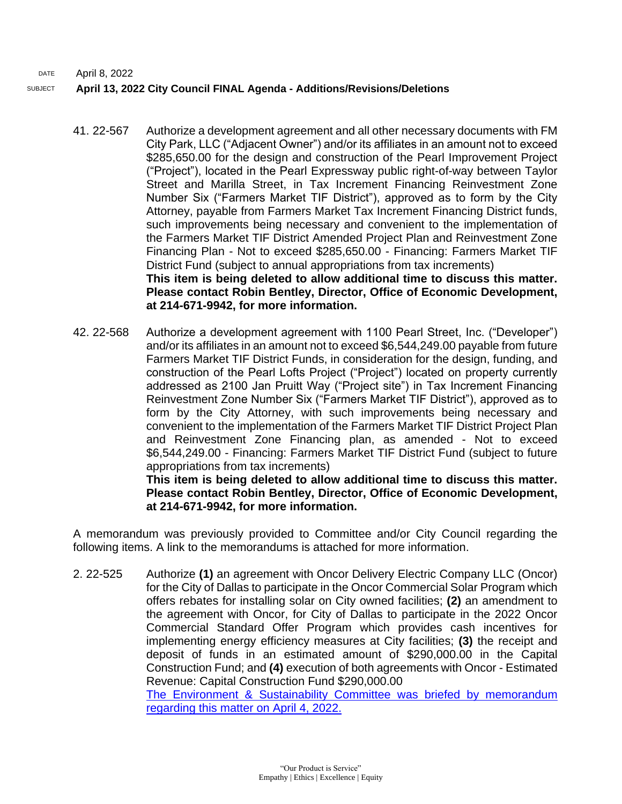DATE April 8, 2022 SUBJECT **April 13, 2022 City Council FINAL Agenda - Additions/Revisions/Deletions**

- 41. 22-567 Authorize a development agreement and all other necessary documents with FM City Park, LLC ("Adjacent Owner") and/or its affiliates in an amount not to exceed \$285,650.00 for the design and construction of the Pearl Improvement Project ("Project"), located in the Pearl Expressway public right-of-way between Taylor Street and Marilla Street, in Tax Increment Financing Reinvestment Zone Number Six ("Farmers Market TIF District"), approved as to form by the City Attorney, payable from Farmers Market Tax Increment Financing District funds, such improvements being necessary and convenient to the implementation of the Farmers Market TIF District Amended Project Plan and Reinvestment Zone Financing Plan - Not to exceed \$285,650.00 - Financing: Farmers Market TIF District Fund (subject to annual appropriations from tax increments) **This item is being deleted to allow additional time to discuss this matter. Please contact Robin Bentley, Director, Office of Economic Development, at 214-671-9942, for more information.**
- 42. 22-568 Authorize a development agreement with 1100 Pearl Street, Inc. ("Developer") and/or its affiliates in an amount not to exceed \$6,544,249.00 payable from future Farmers Market TIF District Funds, in consideration for the design, funding, and construction of the Pearl Lofts Project ("Project") located on property currently addressed as 2100 Jan Pruitt Way ("Project site") in Tax Increment Financing Reinvestment Zone Number Six ("Farmers Market TIF District"), approved as to form by the City Attorney, with such improvements being necessary and convenient to the implementation of the Farmers Market TIF District Project Plan and Reinvestment Zone Financing plan, as amended - Not to exceed \$6,544,249.00 - Financing: Farmers Market TIF District Fund (subject to future appropriations from tax increments)

**This item is being deleted to allow additional time to discuss this matter. Please contact Robin Bentley, Director, Office of Economic Development, at 214-671-9942, for more information.** 

A memorandum was previously provided to Committee and/or City Council regarding the following items. A link to the memorandums is attached for more information.

2. 22-525 Authorize **(1)** an agreement with Oncor Delivery Electric Company LLC (Oncor) for the City of Dallas to participate in the Oncor Commercial Solar Program which offers rebates for installing solar on City owned facilities; **(2)** an amendment to the agreement with Oncor, for City of Dallas to participate in the 2022 Oncor Commercial Standard Offer Program which provides cash incentives for implementing energy efficiency measures at City facilities; **(3)** the receipt and deposit of funds in an estimated amount of \$290,000.00 in the Capital Construction Fund; and **(4)** execution of both agreements with Oncor - Estimated Revenue: Capital Construction Fund \$290,000.00

[The Environment & Sustainability Committee was](http://cityofdallas.legistar.com/gateway.aspx?M=F&ID=cadc6c0d-39d9-4609-be95-1bd0c10b1362.pdf) briefed by memorandum [regarding this matter on April 4, 2022.](http://cityofdallas.legistar.com/gateway.aspx?M=F&ID=cadc6c0d-39d9-4609-be95-1bd0c10b1362.pdf)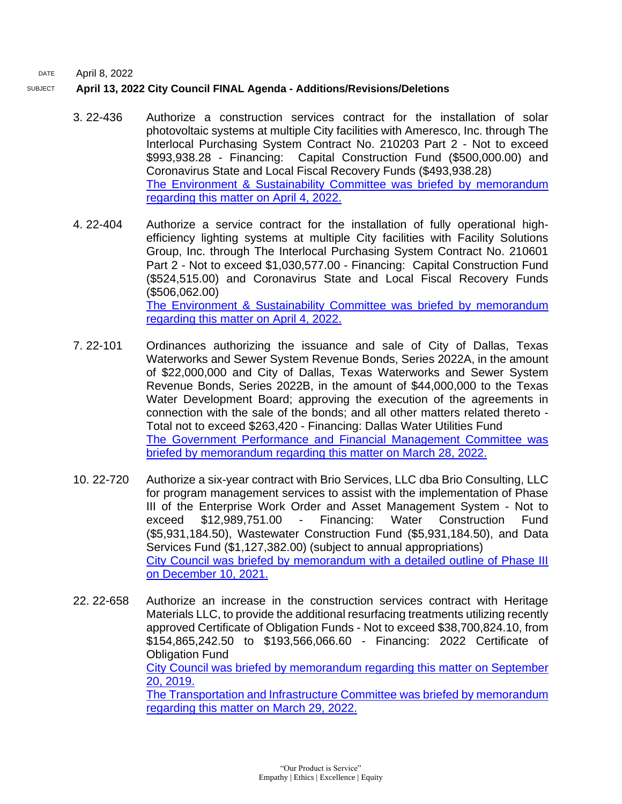DATE April 8, 2022

#### SUBJECT **April 13, 2022 City Council FINAL Agenda - Additions/Revisions/Deletions**

- 3. 22-436 Authorize a construction services contract for the installation of solar photovoltaic systems at multiple City facilities with Ameresco, Inc. through The Interlocal Purchasing System Contract No. 210203 Part 2 - Not to exceed \$993,938.28 - Financing: Capital Construction Fund (\$500,000.00) and Coronavirus State and Local Fiscal Recovery Funds (\$493,938.28) [The Environment & Sustainability Committee was](http://cityofdallas.legistar.com/gateway.aspx?M=F&ID=cadc6c0d-39d9-4609-be95-1bd0c10b1362.pdf) briefed by memorandum [regarding this matter on April 4, 2022.](http://cityofdallas.legistar.com/gateway.aspx?M=F&ID=cadc6c0d-39d9-4609-be95-1bd0c10b1362.pdf)
- 4. 22-404 Authorize a service contract for the installation of fully operational highefficiency lighting systems at multiple City facilities with Facility Solutions Group, Inc. through The Interlocal Purchasing System Contract No. 210601 Part 2 - Not to exceed \$1,030,577.00 - Financing: Capital Construction Fund (\$524,515.00) and Coronavirus State and Local Fiscal Recovery Funds (\$506,062.00) [The Environment & Sustainability Committee was](http://cityofdallas.legistar.com/gateway.aspx?M=F&ID=cadc6c0d-39d9-4609-be95-1bd0c10b1362.pdf) briefed by memorandum [regarding this matter on April 4, 2022.](http://cityofdallas.legistar.com/gateway.aspx?M=F&ID=cadc6c0d-39d9-4609-be95-1bd0c10b1362.pdf)
- 7. 22-101 Ordinances authorizing the issuance and sale of City of Dallas, Texas Waterworks and Sewer System Revenue Bonds, Series 2022A, in the amount of \$22,000,000 and City of Dallas, Texas Waterworks and Sewer System Revenue Bonds, Series 2022B, in the amount of \$44,000,000 to the Texas Water Development Board; approving the execution of the agreements in connection with the sale of the bonds; and all other matters related thereto - Total not to exceed \$263,420 - Financing: Dallas Water Utilities Fund [The Government Performance and Financial Management Committee was](http://cityofdallas.legistar.com/gateway.aspx?M=F&ID=00c5ea27-c46c-48fa-83d9-281c5c03d197.pdf)  [briefed by memorandum regarding this matter on March 28, 2022.](http://cityofdallas.legistar.com/gateway.aspx?M=F&ID=00c5ea27-c46c-48fa-83d9-281c5c03d197.pdf)
- 10. 22-720 Authorize a six-year contract with Brio Services, LLC dba Brio Consulting, LLC for program management services to assist with the implementation of Phase III of the Enterprise Work Order and Asset Management System - Not to exceed \$12,989,751.00 - Financing: Water Construction Fund (\$5,931,184.50), Wastewater Construction Fund (\$5,931,184.50), and Data Services Fund (\$1,127,382.00) (subject to annual appropriations) [City Council was briefed by memorandum with a detailed outline of Phase III](https://dallascityhall.com/government/citymanager/Documents/FY%2021-22%20Memos/Enterprise-Work-Order-Asset-Management-System-%28EWAMS%29-Progress-and-Next-Steps_Memo_121021.pdf)  [on December 10, 2021.](https://dallascityhall.com/government/citymanager/Documents/FY%2021-22%20Memos/Enterprise-Work-Order-Asset-Management-System-%28EWAMS%29-Progress-and-Next-Steps_Memo_121021.pdf)
- 22. 22-658 Authorize an increase in the construction services contract with Heritage Materials LLC, to provide the additional resurfacing treatments utilizing recently approved Certificate of Obligation Funds - Not to exceed \$38,700,824.10, from \$154,865,242.50 to \$193,566,066.60 - Financing: 2022 Certificate of Obligation Fund City Council was briefed by [memorandum](https://dallascityhall.com/government/citymanager/Documents/FY18-19%20Memos/September-25-2019-City-Council-Agenda-Items-6-and-7_Memo_092019.pdf) regarding this matter on September 20, [2019.](https://dallascityhall.com/government/citymanager/Documents/FY18-19%20Memos/September-25-2019-City-Council-Agenda-Items-6-and-7_Memo_092019.pdf) [The Transportation and Infrastructure Committee was briefed by memorandum](http://cityofdallas.legistar.com/gateway.aspx?M=F&ID=8ffafd57-e19e-48de-a33b-7b5f56028e01.pdf)  [regarding this matter on March 29, 2022.](http://cityofdallas.legistar.com/gateway.aspx?M=F&ID=8ffafd57-e19e-48de-a33b-7b5f56028e01.pdf)